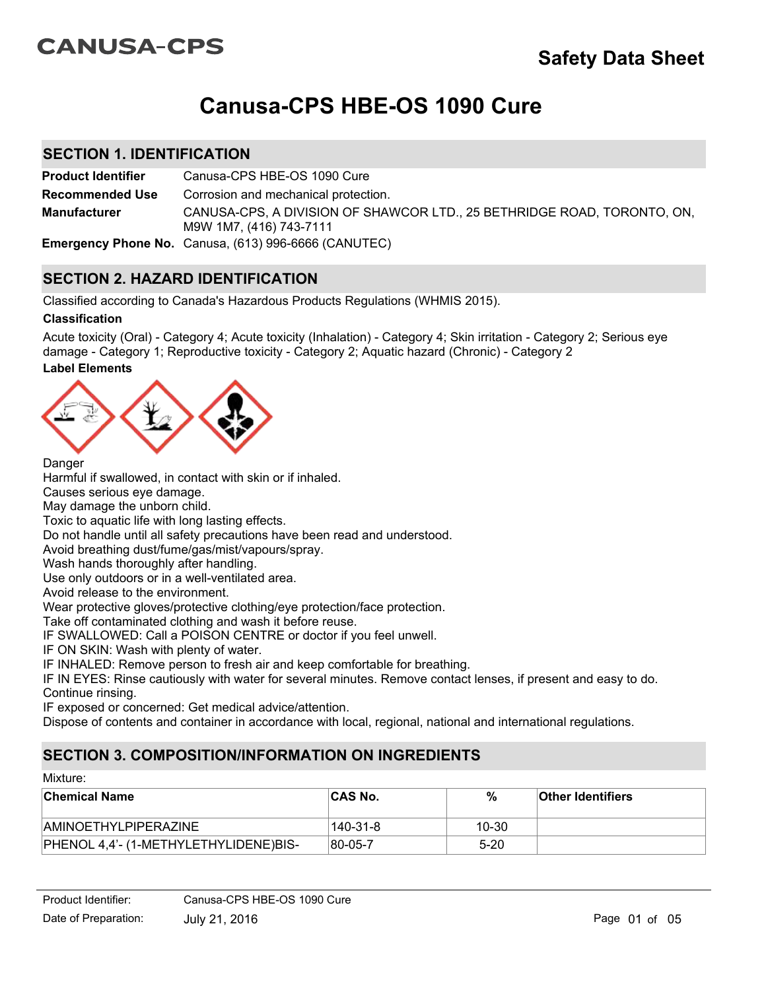# **CANUSA-CPS**

# **Canusa-CPS HBE-OS 1090 Cure**

### **SECTION 1. IDENTIFICATION**

**Product Identifier** Canusa-CPS HBE-OS 1090 Cure CANUSA-CPS, A DIVISION OF SHAWCOR LTD., 25 BETHRIDGE ROAD, TORONTO, ON, M9W 1M7, (416) 743-7111 **Recommended Use Emergency Phone No.** Canusa, (613) 996-6666 (CANUTEC) **Manufacturer** Corrosion and mechanical protection.

## **SECTION 2. HAZARD IDENTIFICATION**

Classified according to Canada's Hazardous Products Regulations (WHMIS 2015).

### **Classification**

**Label Elements** Acute toxicity (Oral) - Category 4; Acute toxicity (Inhalation) - Category 4; Skin irritation - Category 2; Serious eye damage - Category 1; Reproductive toxicity - Category 2; Aquatic hazard (Chronic) - Category 2



**Danger** 

Harmful if swallowed, in contact with skin or if inhaled.

Causes serious eye damage.

May damage the unborn child.

Toxic to aquatic life with long lasting effects.

Do not handle until all safety precautions have been read and understood.

Avoid breathing dust/fume/gas/mist/vapours/spray.

Wash hands thoroughly after handling.

Use only outdoors or in a well-ventilated area.

Avoid release to the environment.

Wear protective gloves/protective clothing/eye protection/face protection.

Take off contaminated clothing and wash it before reuse.

IF SWALLOWED: Call a POISON CENTRE or doctor if you feel unwell.

IF ON SKIN: Wash with plenty of water.

IF INHALED: Remove person to fresh air and keep comfortable for breathing.

IF IN EYES: Rinse cautiously with water for several minutes. Remove contact lenses, if present and easy to do. Continue rinsing.

IF exposed or concerned: Get medical advice/attention.

Dispose of contents and container in accordance with local, regional, national and international regulations.

# **SECTION 3. COMPOSITION/INFORMATION ON INGREDIENTS**

| Mixture:                              |                |          |                          |  |  |
|---------------------------------------|----------------|----------|--------------------------|--|--|
| <b>Chemical Name</b>                  | <b>CAS No.</b> | %        | <b>Other Identifiers</b> |  |  |
| <b>AMINOETHYLPIPERAZINE</b>           | 140-31-8       | 10-30    |                          |  |  |
| PHENOL 4,4'- (1-METHYLETHYLIDENE)BIS- | 80-05-7        | $5 - 20$ |                          |  |  |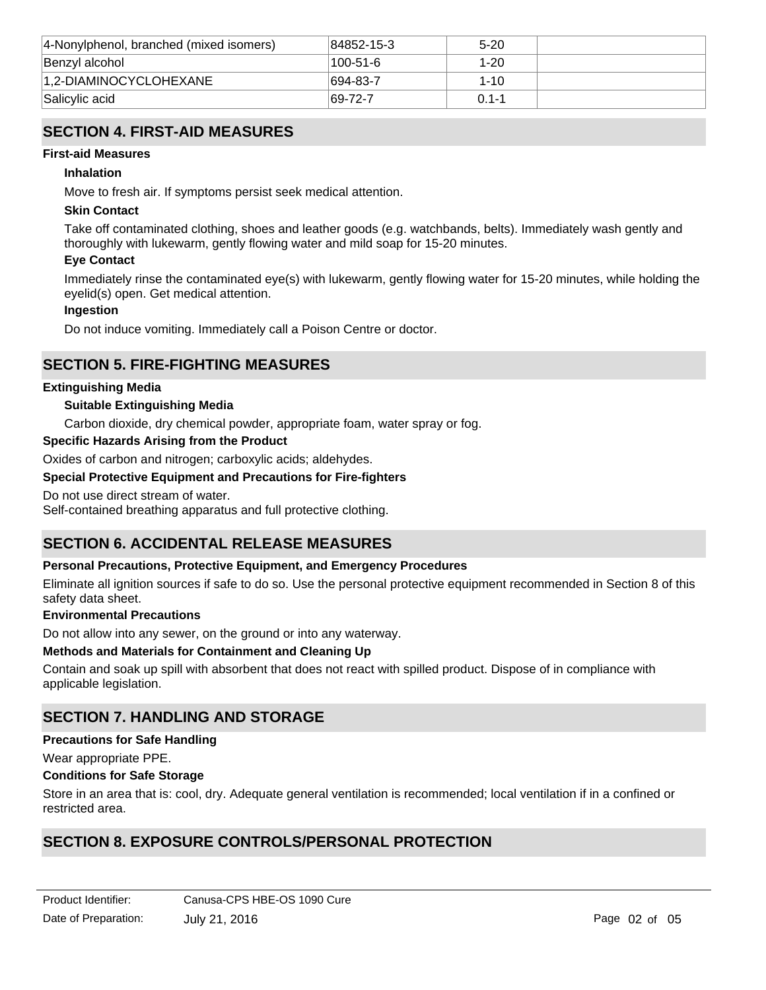| 4-Nonylphenol, branched (mixed isomers) | 84852-15-3  | $5 - 20$  |  |
|-----------------------------------------|-------------|-----------|--|
| Benzyl alcohol                          | 100-51-6    | $1 - 20$  |  |
| 1.2-DIAMINOCYCLOHEXANE                  | $ 694-83-7$ | $1 - 10$  |  |
| Salicylic acid                          | $ 69-72-7$  | $01 - -1$ |  |

# **SECTION 4. FIRST-AID MEASURES**

#### **First-aid Measures**

#### **Inhalation**

Move to fresh air. If symptoms persist seek medical attention.

### **Skin Contact**

Take off contaminated clothing, shoes and leather goods (e.g. watchbands, belts). Immediately wash gently and thoroughly with lukewarm, gently flowing water and mild soap for 15-20 minutes.

### **Eye Contact**

Immediately rinse the contaminated eye(s) with lukewarm, gently flowing water for 15-20 minutes, while holding the eyelid(s) open. Get medical attention.

### **Ingestion**

Do not induce vomiting. Immediately call a Poison Centre or doctor.

## **SECTION 5. FIRE-FIGHTING MEASURES**

### **Extinguishing Media**

### **Suitable Extinguishing Media**

Carbon dioxide, dry chemical powder, appropriate foam, water spray or fog.

#### **Specific Hazards Arising from the Product**

Oxides of carbon and nitrogen; carboxylic acids; aldehydes.

### **Special Protective Equipment and Precautions for Fire-fighters**

Do not use direct stream of water.

Self-contained breathing apparatus and full protective clothing.

# **SECTION 6. ACCIDENTAL RELEASE MEASURES**

### **Personal Precautions, Protective Equipment, and Emergency Procedures**

Eliminate all ignition sources if safe to do so. Use the personal protective equipment recommended in Section 8 of this safety data sheet.

#### **Environmental Precautions**

Do not allow into any sewer, on the ground or into any waterway.

### **Methods and Materials for Containment and Cleaning Up**

Contain and soak up spill with absorbent that does not react with spilled product. Dispose of in compliance with applicable legislation.

# **SECTION 7. HANDLING AND STORAGE**

#### **Precautions for Safe Handling**

Wear appropriate PPE.

## **Conditions for Safe Storage**

Store in an area that is: cool, dry. Adequate general ventilation is recommended; local ventilation if in a confined or restricted area.

# **SECTION 8. EXPOSURE CONTROLS/PERSONAL PROTECTION**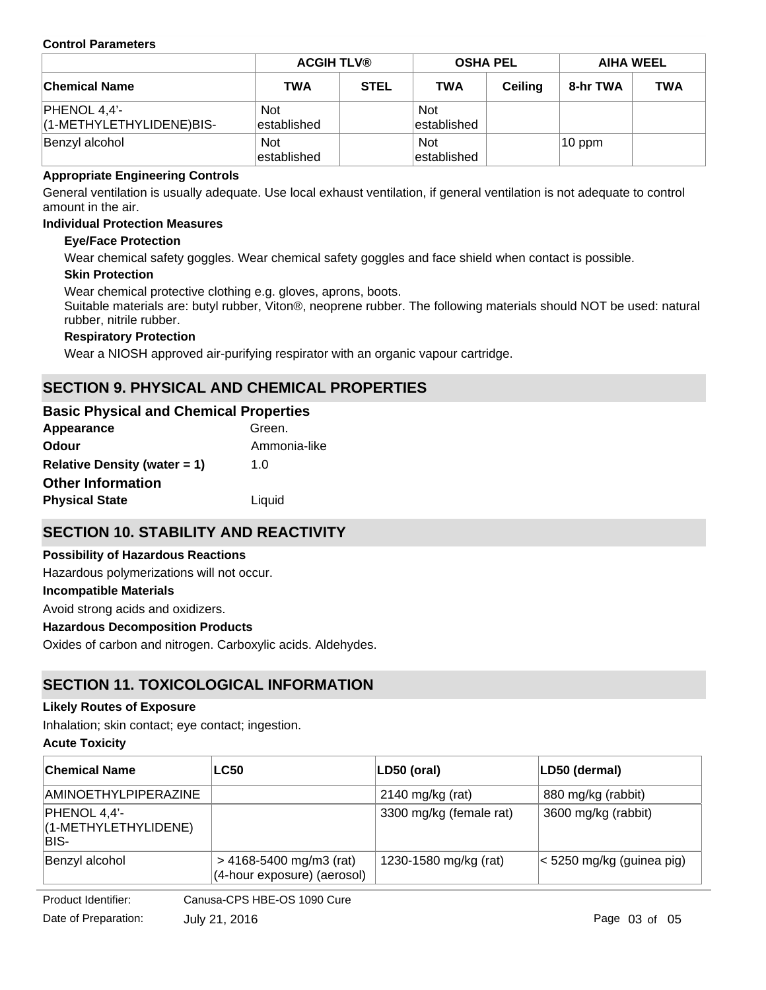#### **Control Parameters**

|                                            |                            | <b>ACGIH TLV®</b> |                           | <b>OSHA PEL</b> |          | <b>AIHA WEEL</b> |  |
|--------------------------------------------|----------------------------|-------------------|---------------------------|-----------------|----------|------------------|--|
| <b>Chemical Name</b>                       | <b>TWA</b>                 | <b>STEL</b>       | <b>TWA</b>                | <b>Ceiling</b>  | 8-hr TWA | <b>TWA</b>       |  |
| $PHENOL 4,4'-$<br>(1-METHYLETHYLIDENE)BIS- | <b>Not</b><br>established  |                   | <b>Not</b><br>established |                 |          |                  |  |
| Benzyl alcohol                             | <b>Not</b><br>lestablished |                   | <b>Not</b><br>established |                 | 10 ppm   |                  |  |

### **Appropriate Engineering Controls**

General ventilation is usually adequate. Use local exhaust ventilation, if general ventilation is not adequate to control amount in the air.

#### **Individual Protection Measures**

### **Eye/Face Protection**

Wear chemical safety goggles. Wear chemical safety goggles and face shield when contact is possible.

#### **Skin Protection**

Wear chemical protective clothing e.g. gloves, aprons, boots.

Suitable materials are: butyl rubber, Viton®, neoprene rubber. The following materials should NOT be used: natural rubber, nitrile rubber.

### **Respiratory Protection**

Wear a NIOSH approved air-purifying respirator with an organic vapour cartridge.

# **SECTION 9. PHYSICAL AND CHEMICAL PROPERTIES**

# **Basic Physical and Chemical Properties**

| Appearance                          | Green.       |
|-------------------------------------|--------------|
| <b>Odour</b>                        | Ammonia-like |
| <b>Relative Density (water = 1)</b> | 1. $\Omega$  |
| <b>Other Information</b>            |              |
| <b>Physical State</b>               | Liquid       |
|                                     |              |

# **SECTION 10. STABILITY AND REACTIVITY**

### **Possibility of Hazardous Reactions**

Hazardous polymerizations will not occur.

### **Incompatible Materials**

Avoid strong acids and oxidizers.

### **Hazardous Decomposition Products**

Oxides of carbon and nitrogen. Carboxylic acids. Aldehydes.

# **SECTION 11. TOXICOLOGICAL INFORMATION**

#### **Likely Routes of Exposure**

Inhalation; skin contact; eye contact; ingestion.

#### **Acute Toxicity**

| ∣Chemical Name                                | <b>LC50</b>                                                | LD50 (oral)             | LD50 (dermal)             |
|-----------------------------------------------|------------------------------------------------------------|-------------------------|---------------------------|
| AMINOETHYLPIPERAZINE                          |                                                            | 2140 mg/kg (rat)        | 880 mg/kg (rabbit)        |
| PHENOL 4,4'-<br>(1-METHYLETHYLIDENE)<br>IBIS- |                                                            | 3300 mg/kg (female rat) | 3600 mg/kg (rabbit)       |
| Benzyl alcohol                                | $> 4168 - 5400$ mg/m3 (rat)<br>(4-hour exposure) (aerosol) | 1230-1580 mg/kg (rat)   | < 5250 mg/kg (guinea pig) |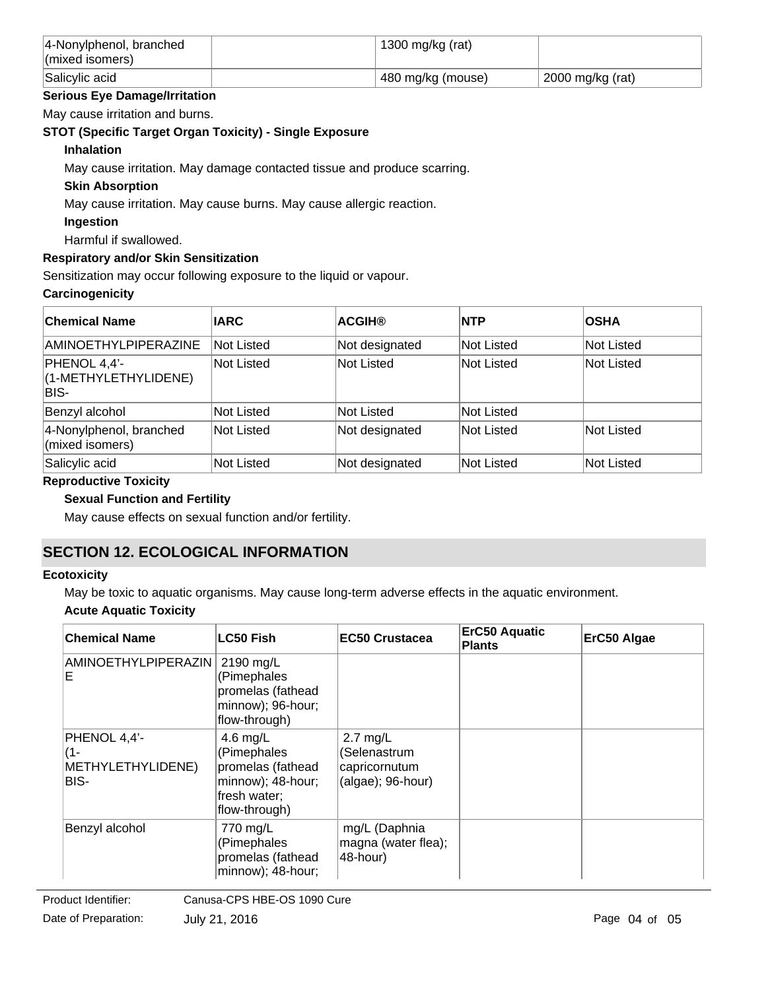| $ 4$ -Nonylphenol, branched<br>$\vert$ (mixed isomers) | 1300 mg/kg (rat)  |                  |
|--------------------------------------------------------|-------------------|------------------|
| Salicylic acid                                         | 480 mg/kg (mouse) | 2000 mg/kg (rat) |

### **Serious Eye Damage/Irritation**

May cause irritation and burns.

### **STOT (Specific Target Organ Toxicity) - Single Exposure**

### **Inhalation**

May cause irritation. May damage contacted tissue and produce scarring.

### **Skin Absorption**

May cause irritation. May cause burns. May cause allergic reaction.

### **Ingestion**

Harmful if swallowed.

### **Respiratory and/or Skin Sensitization**

Sensitization may occur following exposure to the liquid or vapour.

### **Carcinogenicity**

| <b>Chemical Name</b>                          | <b>IARC</b> | <b>ACGIH®</b>  | <b>INTP</b> | <b>OSHA</b>       |
|-----------------------------------------------|-------------|----------------|-------------|-------------------|
| <b>AMINOETHYLPIPERAZINE</b>                   | Not Listed  | Not designated | Not Listed  | Not Listed        |
| PHENOL 4,4'-<br>(1-METHYLETHYLIDENE)<br>IBIS- | Not Listed  | Not Listed     | Not Listed  | Not Listed        |
| Benzyl alcohol                                | Not Listed  | Not Listed     | Not Listed  |                   |
| 4-Nonylphenol, branched<br>(mixed isomers)    | Not Listed  | Not designated | Not Listed  | Not Listed        |
| Salicylic acid                                | Not Listed  | Not designated | Not Listed  | <b>Not Listed</b> |

### **Reproductive Toxicity**

### **Sexual Function and Fertility**

May cause effects on sexual function and/or fertility.

# **SECTION 12. ECOLOGICAL INFORMATION**

### **Ecotoxicity**

May be toxic to aquatic organisms. May cause long-term adverse effects in the aquatic environment.

### **Acute Aquatic Toxicity**

| <b>Chemical Name</b>                             | <b>LC50 Fish</b>                                                                                      | <b>EC50 Crustacea</b>                                            | <b>ErC50 Aquatic</b><br><b>Plants</b> | ErC50 Algae |
|--------------------------------------------------|-------------------------------------------------------------------------------------------------------|------------------------------------------------------------------|---------------------------------------|-------------|
| <b>AMINOETHYLPIPERAZIN</b><br>E                  | 2190 mg/L<br>(Pimephales<br>promelas (fathead<br>minnow); 96-hour;<br>flow-through)                   |                                                                  |                                       |             |
| PHENOL 4,4'-<br>(1-<br>METHYLETHYLIDENE)<br>BIS- | 4.6 mg/ $L$<br>(Pimephales<br>promelas (fathead<br>minnow); 48-hour;<br>fresh water;<br>flow-through) | $2.7$ mg/L<br>(Selenastrum<br>capricornutum<br>(algae); 96-hour) |                                       |             |
| Benzyl alcohol                                   | 770 mg/L<br>(Pimephales<br>promelas (fathead<br>minnow); 48-hour;                                     | mg/L (Daphnia<br>magna (water flea);<br>48-hour)                 |                                       |             |